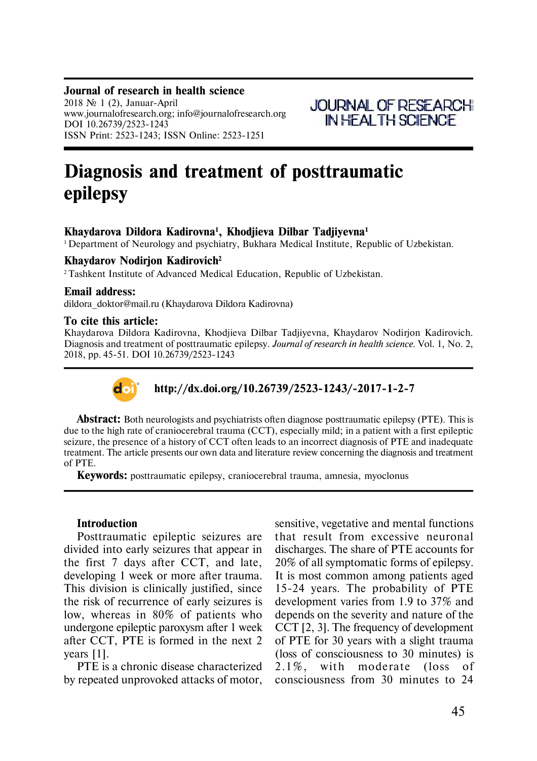#### **Journal of research in health science**

2018  $\mathcal{N}$  1 (2), Januar-April www.journalofresearch.org; info@journalofresearch.org DOI 10.26739/2523-1243 ISSN Print: 2523-1243; ISSN Online: 2523-1251



# **Diagnosis and treatment of posttraumatic epilepsy**

## **Khaydarova Dildora Êàdirovna<sup>1</sup> , Khodjieva Dilbar Tadjiyevna<sup>1</sup>**

<sup>1</sup> Department of Neurology and psychiatry, Bukhara Medical Institute, Republic of Uzbekistan.

#### **Khaydarov Nodirjon Kadirovich<sup>2</sup>**

<sup>2</sup> Tashkent Institute of Advanced Medical Education, Republic of Uzbekistan.

#### **Email address:**

dildora doktor@mail.ru (Khaydarova Dildora Kadirovna)

#### **To cite this article:**

Khaydarova Dildora Êàdirovna, Khodjieva Dilbar Tadjiyevna, Khaydarov Nodirjon Êàdirovich. Diagnosis and treatment of posttraumatic epilepsy. *Journal of research in health science.* Vol. 1, No. 2, 2018, pp. 45-51. DOI 10.26739/2523-1243



## **http://dx.doi.org/10.26739/2523-1243/-2017-1-2-7**

**Abstract:** Both neurologists and psychiatrists often diagnose posttraumatic epilepsy (PTE). This is due to the high rate of craniocerebral trauma (CCT), especially mild; in a patient with a first epileptic seizure, the presence of a history of CCT often leads to an incorrect diagnosis of PTE and inadequate treatment. The article presents our own data and literature review concerning the diagnosis and treatment of PTE.

**Keywords:** posttraumatic epilepsy, craniocerebral trauma, amnesia, myoclonus

#### **Introduction**

Posttraumatic epileptic seizures are divided into early seizures that appear in the first 7 days after CCT, and late, developing 1 week or more after trauma. This division is clinically justified, since the risk of recurrence of early seizures is low, whereas in 80% of patients who undergone epileptic paroxysm after 1 week after CCT, PTE is formed in the next 2 years [1].

PTE is a chronic disease characterized by repeated unprovoked attacks of motor,

sensitive, vegetative and mental functions that result from excessive neuronal discharges. The share of PTE accounts for 20% of all symptomatic forms of epilepsy. It is most common among patients aged 15-24 years. The probability of PTE development varies from 1.9 to 37% and depends on the severity and nature of the CCT [2, 3]. The frequency of development of PTE for 30 years with a slight trauma (loss of consciousness to 30 minutes) is  $2.1\%$ , with moderate (loss of consciousness from 30 minutes to 24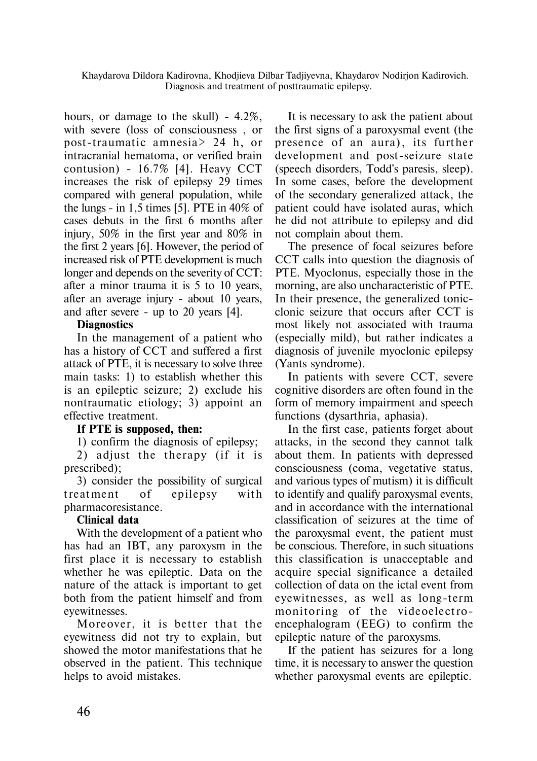Khaydarova Dildora Êàdirovna, Khodjieva Dilbar Tadjiyevna, Khaydarov Nodirjon Êàdirovich. Diagnosis and treatment of posttraumatic epilepsy.

hours, or damage to the skull)  $-4.2\%$ . with severe (loss of consciousness , or post-trauma tic amnesia> 24 h, or intracranial hematoma, or verified brain contusion) - 16.7% [4]. Heavy CCT increases the risk of epilepsy 29 times compared with general population, while the lungs - in 1,5 times [5]. PTE in  $40\%$  of cases debuts in the first 6 months after injury, 50% in the first year and 80% in the first 2 years [6]. However, the period of increased risk of PTE development is much longer and depends on the severity of CCT: after a minor trauma it is 5 to 10 years, after an average injury - about 10 years, and after severe - up to 20 years [4].

## **Diagnostics**

In the management of a patient who has a history of CCT and suffered a first attack of PTE, it is necessary to solve three main tasks: 1) to establish whether this is an epileptic seizure; 2) exclude his nontraumatic etiology; 3) appoint an effective treatment.

## **If PTE is supposed, then:**

1) confirm the diagnosis of epilepsy;

2) adjust the therapy (if it is prescribed);

3) consider the possibility of surgical treatment of epilepsy with pharmacoresistance.

## **Clinical data**

With the development of a patient who has had an IBT, any paroxysm in the first place it is necessary to establish whether he was epileptic. Data on the nature of the attack is important to get both from the patient himself and from eyewitnesses.

Moreover, it is better that the eyewitness did not try to explain, but showed the motor manifestations that he observed in the patient. This technique helps to avoid mistakes.

It is necessary to ask the patient about the first signs of a paroxysmal event (the presence of an aura), its further development and post-seizure state (speech disorders, Todd's paresis, sleep). In some cases, before the development of the secondary generalized attack, the patient could have isolated auras, which he did not attribute to epilepsy and did not complain about them.

The presence of focal seizures before CCT calls into question the diagnosis of PTE. Myoclonus, especially those in the morning, are also uncharacteristic of PTE. In their presence, the generalized tonicclonic seizure that occurs after CCT is most likely not associated with trauma (especially mild), but rather indicates a diagnosis of juvenile myoclonic epilepsy (Yants syndrome).

In patients with severe CCT, severe cognitive disorders are often found in the form of memory impairment and speech functions (dysarthria, aphasia).

In the first case, patients forget about attacks, in the second they cannot talk about them. In patients with depressed consciousness (coma, vegetative status, and various types of mutism) it is difficult to identify and qualify paroxysmal events, and in accordance with the international classification of seizures at the time of the paroxysmal event, the patient must be conscious. Therefore, in such situations this classification is unacceptable and acquire special significance a detailed collection of data on the ictal event from eyewitnesses, as well as long-term monitoring of the videoelectroencephalogram (EEG) to confirm the epileptic nature of the paroxysms.

If the patient has seizures for a long time, it is necessary to answer the question whether paroxysmal events are epileptic.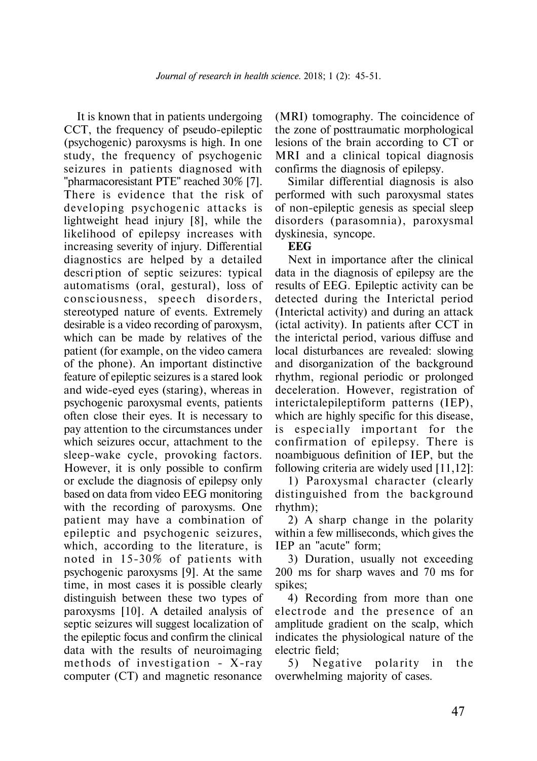It is known that in patients undergoing CCT, the frequency of pseudo-epileptic (psychogenic) paroxysms is high. In one study, the frequency of psychogenic seizures in patients diagnosed with "pharmacoresistant PTE" reached 30% [7]. There is evidence that the risk of developing psychogenic attacks is lightweight head injury [8], while the likelihood of epilepsy increases with increasing severity of injury. Differential diagnostics are helped by a detailed descri ption of septic seizures: typical automatisms (oral, gestural), loss of consciousness, speech disorders, stereotyped nature of events. Extremely desirable is a video recording of paroxysm, which can be made by relatives of the patient (for example, on the video camera of the phone). An important distinctive feature of epileptic seizures is a stared look and wide-eyed eyes (staring), whereas in psychogenic paroxysmal events, patients often close their eyes. It is necessary to pay attention to the circumstances under which seizures occur, attachment to the sleep-wake cycle, provoking factors. However, it is only possible to confirm or exclude the diagnosis of epilepsy only based on data from video EEG monitoring with the recording of paroxysms. One patient may have a combination of epileptic and psychogenic seizures, which, according to the literature, is noted in  $15-30\%$  of patients with psychogenic paroxysms [9]. At the same time, in most cases it is possible clearly distinguish between these two types of paroxysms [10]. A detailed analysis of septic seizures will suggest localization of the epileptic focus and confirm the clinical data with the results of neuroimaging methods of investigation -  $X$ -ray computer (CT) and magnetic resonance

(MRI) tomography. The coincidence of the zone of posttraumatic morphological lesions of the brain according to CT or MRI and a clinical topical diagnosis confirms the diagnosis of epilepsy.

Similar differential diagnosis is also performed with such paroxysmal states of non-epileptic genesis as special sleep disorders (parasomnia), paroxysmal dyskinesia, syncope.

#### **EEG**

Next in importance after the clinical data in the diagnosis of epilepsy are the results of EEG. Epileptic activity can be detected during the Interictal period (Interictal activity) and during an attack (ictal activity). In patients after CCT in the interictal period, various diffuse and local disturbances are revealed: slowing and disorganization of the background rhythm, regional periodic or prolonged deceleration. However, registration of interictalepileptiform patterns (IEP), which are highly specific for this disease, is especially important for the con firmation of epilepsy. There is noambiguous definition of IEP, but the following criteria are widely used [11,12]:

1) Paroxysmal character (clearly distinguished from the background rhythm);

2) A sharp change in the polarity within a few milliseconds, which gives the IEP an "acute" form;

3) Duration, usually not exceeding 200 ms for sharp waves and 70 ms for spikes;

4) Recording from more than one electrode and the presence of an amplitude gradient on the scalp, which indicates the physiological nature of the electric field;

5) Negative polarity in the overwhelming majority of cases.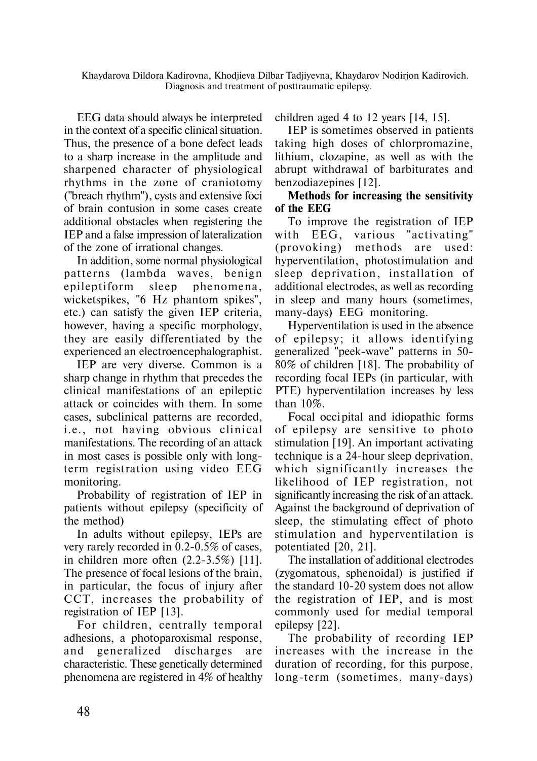Khaydarova Dildora Êàdirovna, Khodjieva Dilbar Tadjiyevna, Khaydarov Nodirjon Êàdirovich. Diagnosis and treatment of posttraumatic epilepsy.

EEG data should always be interpreted in the context of a specific clinical situation. Thus, the presence of a bone defect leads to a sharp increase in the amplitude and sharpened character of physiological rhythms in the zone of craniotomy ("breach rhythm"), cysts and extensive foci of brain contusion in some cases create additional obstacles when registering the IEP and a false impression of lateralization of the zone of irrational changes.

In addition, some normal physiological patterns (lambda waves, benign epileptiform sleep phenomena, wicketspikes, "6 Hz phantom spikes", etc.) can satisfy the given IEP criteria, however, having a specific morphology, they are easily differentiated by the experienced an electroencephalographist.

IEP are very diverse. Common is a sharp change in rhythm that precedes the clinical manifestations of an epileptic attack or coincides with them. In some cases, subclinical patterns are recorded, i.e., not having obvious clinical manifestations. The recording of an attack in most cases is possible only with longterm registration using video EEG monitoring.

Probability of registration of IEP in patients without epilepsy (specificity of the method)

In adults without epilepsy, IEPs are very rarely recorded in 0.2-0.5% of cases, in children more often (2.2-3.5%) [11]. The presence of focal lesions of the brain, in particular, the focus of injury after CCT, increases the probability of registration of IEP [13].

For children, centrally temporal adhesions, a photoparoxismal response, and generalized discharges are characteristic. These genetically determined phenomena are registered in 4% of healthy children aged 4 to 12 years [14, 15].

IEP is sometimes observed in patients taking high doses of chlorpromazine, lithium, clozapine, as well as with the abrupt withdrawal of barbiturates and benzodiazepines [12].

## **Methods for increasing the sensitivity of the EEG**

To improve the registration of IEP with EEG, various "activating" (provoking) methods are used: hyperventilation, photostimulation and sleep deprivation, installation of additional electrodes, as well as recording in sleep and many hours (sometimes, many-days) EEG monitoring.

Hyperventilation is used in the absence of epilepsy; it allows identifying generalized "peek-wave" patterns in 50- 80% of children [18]. The probability of recording focal IEPs (in particular, with PTE) hyperventilation increases by less than 10%.

Focal occi pital and idiopathic forms of epilepsy are sensitive to photo stimulation [19]. An important activating technique is a 24-hour sleep deprivation, which significantly increases the likelihood of IEP registration, not significantly increasing the risk of an attack. Against the background of deprivation of sleep, the stimulating effect of photo stimulation and hyperventilation is potentiated [20, 21].

The installation of additional electrodes (zygomatous, sphenoidal) is justified if the standard 10-20 system does not allow the registration of IEP, and is most commonly used for medial temporal epilepsy [22].

The probability of recording IEP increases with the increase in the duration of recording, for this purpose, long-term (sometimes, many-days)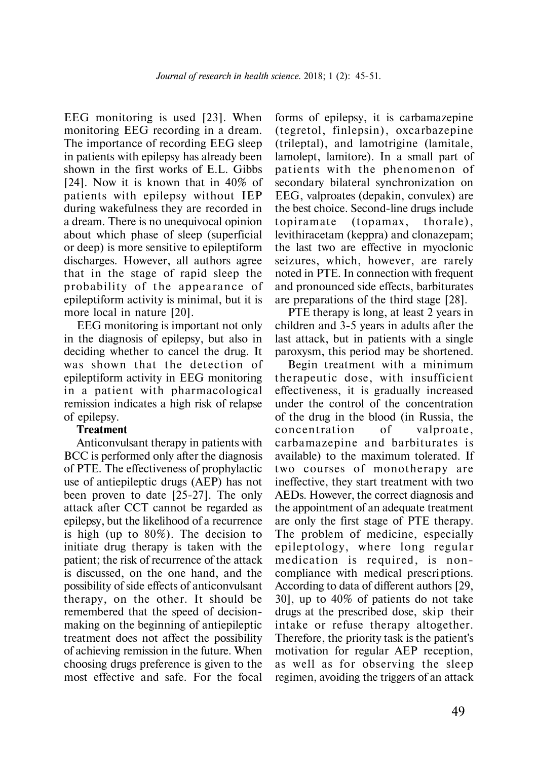EEG monitoring is used [23]. When monitoring EEG recording in a dream. The importance of recording EEG sleep in patients with epilepsy has already been shown in the first works of E.L. Gibbs [24]. Now it is known that in 40% of patients with epilepsy without IEP during wakefulness they are recorded in a dream. There is no unequivocal opinion about which phase of sleep (superficial or deep) is more sensitive to epileptiform discharges. However, all authors agree that in the stage of rapid sleep the probability of the appearance of epileptiform activity is minimal, but it is more local in nature [20].

EEG monitoring is important not only in the diagnosis of epilepsy, but also in deciding whether to cancel the drug. It was shown that the detection of epileptiform activity in EEG monitoring in a patient with pharmacological remission indicates a high risk of relapse of epilepsy.

## **Treatment**

Anticonvulsant therapy in patients with BCC is performed only after the diagnosis of PTE. The effectiveness of prophylactic use of antiepileptic drugs (AEP) has not been proven to date [25-27]. The only attack after CCT cannot be regarded as epilepsy, but the likelihood of a recurrence is high (up to 80%). The decision to initiate drug therapy is taken with the patient; the risk of recurrence of the attack is discussed, on the one hand, and the possibility of side effects of anticonvulsant therapy, on the other. It should be remembered that the speed of decisionmaking on the beginning of antiepileptic treatment does not affect the possibility of achieving remission in the future. When choosing drugs preference is given to the most effective and safe. For the focal

forms of epilepsy, it is carbamazepine (tegretol, finlepsin), oxcarbazepine (trileptal), and lamotrigine (lamitale, lamolept, lamitore). In a small part of patients with the phenomenon of secondary bilateral synchronization on EEG, valproates (depakin, convulex) are the best choice. Second-line drugs include topiramate (topamax, thorale), levithiracetam (keppra) and clonazepam; the last two are effective in myoclonic seizures, which, however, are rarely noted in PTE. In connection with frequent and pronounced side effects, barbiturates are preparations of the third stage [28].

PTE therapy is long, at least 2 years in children and 3-5 years in adults after the last attack, but in patients with a single paroxysm, this period may be shortened.

Begin treatment with a minimum therapeutic dose, with insufficient effectiveness, it is gradually increased under the control of the concentration of the drug in the blood (in Russia, the concentration of valproate, carbamazepine and barbiturates is available) to the maximum tolerated. If two courses of monotherapy are ineffective, they start treatment with two AEDs. However, the correct diagnosis and the appointment of an adequate treatment are only the first stage of PTE therapy. The problem of medicine, especially epileptology, where long regular medication is required, is noncompliance with medical prescri ptions. According to data of different authors [29, 30], up to 40% of patients do not take drugs at the prescribed dose, skip their intake or refuse therapy altogether. Therefore, the priority task is the patient's motivation for regular AEP reception, as well as for observing the sleep regimen, avoiding the triggers of an attack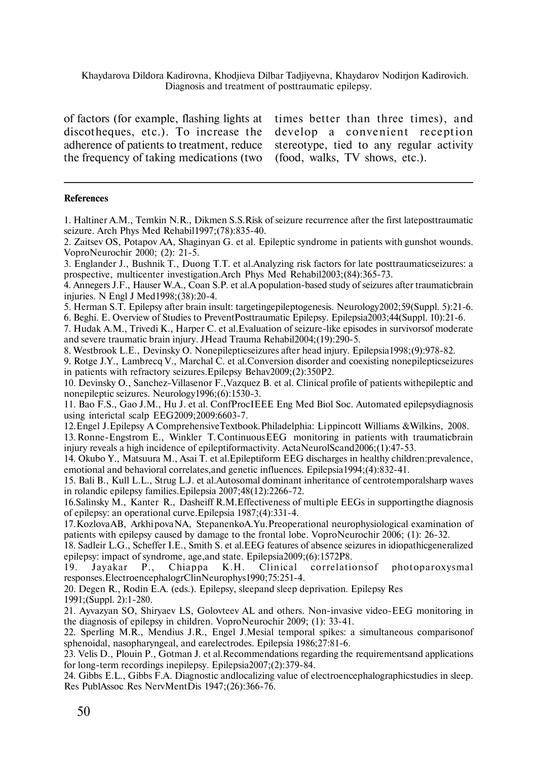Khaydarova Dildora Êàdirovna, Khodjieva Dilbar Tadjiyevna, Khaydarov Nodirjon Êàdirovich. Diagnosis and treatment of posttraumatic epilepsy.

of factors (for example, flashing lights at discotheques, etc.). To increase the adherence of patients to treatment, reduce the frequency of taking medications (two times better than three times), and develop a convenient reception stereotype, tied to any regular activity (food, walks, TV shows, etc.).

#### **References**

1. Haltiner A.M., Temkin N.R., Dikmen S.S.Risk of seizure recurrence after the first lateposttraumatic seizure. Arch Phys Med Rehabil1997;(78):835-40.

2. Zaitsev OS, Potapov AA, Shaginyan G. et al. Epileptic syndrome in patients with gunshot wounds. VoproNeurochir 2000; (2): 21-5.

3. Englander J., Bushnik T., Duong T.T. et al.Analyzing risk factors for late posttraumaticseizures: a prospective, multicenter investigation.Arch Phys Med Rehabil2003;(84):365-73.

4. Annegers J.F., Hauser W.A., Coan S.P. et al.A population-based study of seizures after traumaticbrain injuries. N Engl J Med1998;(38):20-4.

5. Herman S.T. Epilepsy after brain insult: targetingepileptogenesis. Neurology2002;59(Suppl. 5):21-6.

6. Beghi. Å. Overview of Studies to PreventPosttraumatic Epilepsy. Epilepsia2003;44(Suppl. 10):21-6.

7. Hudak A.M., Trivedi K., Harper C. et al.Evaluation of seizure-like episodes in survivorsof moderate and severe traumatic brain injury. JHead Trauma Rehabil2004;(19):290-5.

8. Westbrook L.E., Devinsky O. Nonepilepticseizures after head injury. Epilepsia1998;(9):978-82.

9. Rotge J.Y., Lambrecq V., Marchal C. et al.Conversion disorder and coexisting nonepilepticseizures in patients with refractory seizures.Epilepsy Behav2009;(2):350Ð2.

10. Devinsky O., Sanchez-Villasenor F.,Vazquez B. et al. Clinical profile of patients withepileptic and nonepileptic seizures. Neurology1996;(6):1530-3.

11. Bao F.S., Gao J.M., Hu J. et al. ConfProcIEEE Eng Med Biol Soc. Automated epilepsydiagnosis using interictal scalp EEG2009;2009:6603-7.

12. Engel J. Epilepsy A ComprehensiveTextbook. Philadelphia: Lippincott Williams &Wilkins, 2008.

13. Ronne-Engstrom E., Winkler T. ContinuousEEG monitoring in patients with traumaticbrain injury reveals a high incidence of epileptiformactivity. ActaNeurolScand2006;(1):47-53.

14. Okubo Y., Matsuura M., Asai T. et al.Epileptiform EEG discharges in healthy children:prevalence, emotional and behavioral correlates,and genetic influences. Epilepsia1994;(4):832-41.

15. Bali B., Kull L.L., Strug L.J. et al.Autosomal dominant inheritance of centrotemporalsharp waves in rolandic epilepsy families.Epilepsia 2007;48(12):2266-72.

16. Salinsky M., Kanter R., Dasheiff R.M.Effectiveness of multiple EEGs in supportingthe diagnosis of epilepsy: an operational curve.Epilepsia 1987;(4):331-4.

17. Kozlova AB, Arkhipova NA, StepanenkoA.Yu. Preoperational neurophysiological examination of patients with epilepsy caused by damage to the frontal lobe. VoproNeurochir 2006; (1): 26-32.

18. Sadleir L.G., Scheffer I.E., Smith S. et al.EEG features of absence seizures in idiopathicgeneralized epilepsy: impact of syndrome, age,and state. Epilepsia2009;(6):1572Ð8.

19. Jayakar P., Chiappa K.H. Clinical correlations of photoparoxysmal responses.ElectroencephalogrClinNeurophys1990;75:251-4.

20. Degen R., Rodin E.A. (eds.). Epilepsy, sleepand sleep deprivation. Epilepsy Res 1991;(Suppl. 2):1-280.

21. Ayvazyan SO, Shiryaev LS, Golovteev AL and others. Non-invasive video-EEG monitoring in the diagnosis of epilepsy in children. VoproNeurochir 2009; (1): 33-41.

22. Sperling M.R., Mendius J.R., Engel J.Mesial temporal spikes: a simultaneous comparisonof sphenoidal, nasopharyngeal, and earelectrodes. Epilepsia 1986;27:81-6.

23. Velis D., Plouin P., Gotman J. et al.Recommendations regarding the requirementsand applications for long-term recordings inepilepsy. Epilepsia2007;(2):379-84.

24. Gibbs E.L., Gibbs F.A. Diagnostic andlocalizing value of electroencephalographicstudies in sleep. Res PublAssoc Res NervMentDis 1947;(26):366-76.